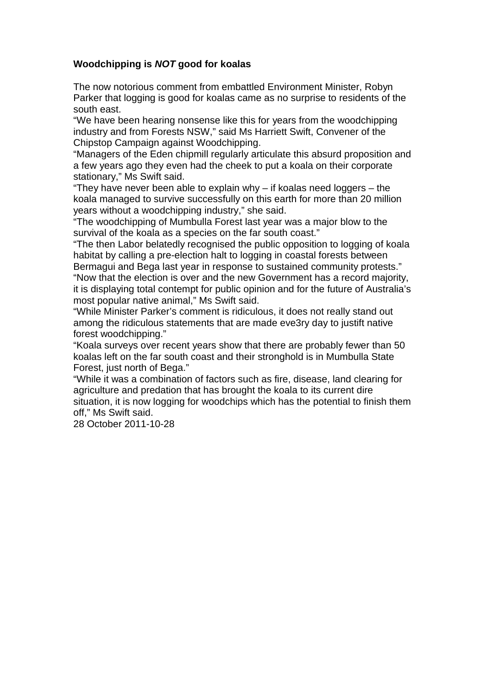## **Woodchipping is NOT good for koalas**

The now notorious comment from embattled Environment Minister, Robyn Parker that logging is good for koalas came as no surprise to residents of the south east.

"We have been hearing nonsense like this for years from the woodchipping industry and from Forests NSW," said Ms Harriett Swift, Convener of the Chipstop Campaign against Woodchipping.

"Managers of the Eden chipmill regularly articulate this absurd proposition and a few years ago they even had the cheek to put a koala on their corporate stationary," Ms Swift said.

"They have never been able to explain why – if koalas need loggers – the koala managed to survive successfully on this earth for more than 20 million years without a woodchipping industry," she said.

"The woodchipping of Mumbulla Forest last year was a major blow to the survival of the koala as a species on the far south coast."

"The then Labor belatedly recognised the public opposition to logging of koala habitat by calling a pre-election halt to logging in coastal forests between Bermagui and Bega last year in response to sustained community protests." "Now that the election is over and the new Government has a record majority, it is displaying total contempt for public opinion and for the future of Australia's most popular native animal," Ms Swift said.

"While Minister Parker's comment is ridiculous, it does not really stand out among the ridiculous statements that are made eve3ry day to justift native forest woodchipping."

"Koala surveys over recent years show that there are probably fewer than 50 koalas left on the far south coast and their stronghold is in Mumbulla State Forest, just north of Bega."

"While it was a combination of factors such as fire, disease, land clearing for agriculture and predation that has brought the koala to its current dire situation, it is now logging for woodchips which has the potential to finish them off," Ms Swift said.

28 October 2011-10-28